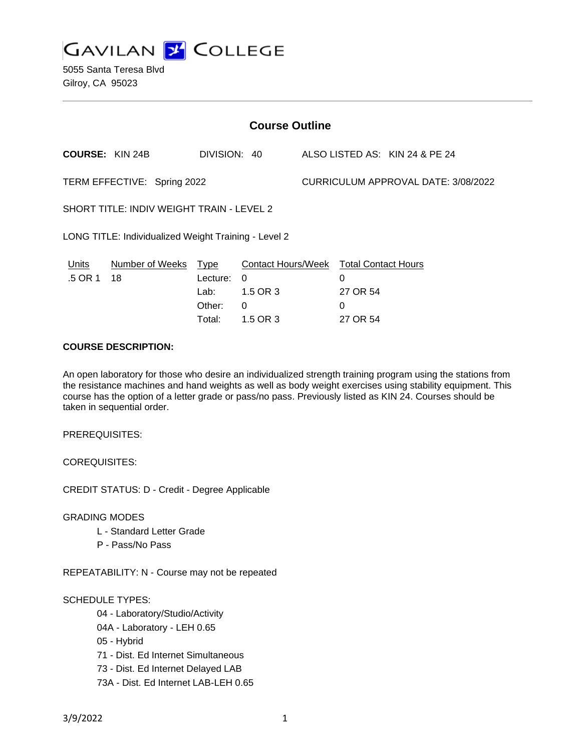**GAVILAN Z COLLEGE** 

5055 Santa Teresa Blvd Gilroy, CA 95023

| <b>Course Outline</b>                                |                       |                                                     |                                                                    |                                     |                                                                     |                                |
|------------------------------------------------------|-----------------------|-----------------------------------------------------|--------------------------------------------------------------------|-------------------------------------|---------------------------------------------------------------------|--------------------------------|
| <b>COURSE: KIN 24B</b>                               |                       | DIVISION: 40                                        |                                                                    |                                     |                                                                     | ALSO LISTED AS: KIN 24 & PE 24 |
| TERM EFFECTIVE: Spring 2022                          |                       |                                                     |                                                                    | CURRICULUM APPROVAL DATE: 3/08/2022 |                                                                     |                                |
| SHORT TITLE: INDIV WEIGHT TRAIN - LEVEL 2            |                       |                                                     |                                                                    |                                     |                                                                     |                                |
| LONG TITLE: Individualized Weight Training - Level 2 |                       |                                                     |                                                                    |                                     |                                                                     |                                |
| Units<br>.5 OR 1                                     | Number of Weeks<br>18 | <b>Type</b><br>Lecture:<br>Lab:<br>Other:<br>Total: | <b>Contact Hours/Week</b><br>$\Omega$<br>1.5 OR 3<br>0<br>1.5 OR 3 |                                     | <b>Total Contact Hours</b><br>0<br>27 OR 54<br>$\Omega$<br>27 OR 54 |                                |

# **COURSE DESCRIPTION:**

An open laboratory for those who desire an individualized strength training program using the stations from the resistance machines and hand weights as well as body weight exercises using stability equipment. This course has the option of a letter grade or pass/no pass. Previously listed as KIN 24. Courses should be taken in sequential order.

PREREQUISITES:

COREQUISITES:

CREDIT STATUS: D - Credit - Degree Applicable

GRADING MODES

- L Standard Letter Grade
- P Pass/No Pass

REPEATABILITY: N - Course may not be repeated

#### SCHEDULE TYPES:

- 04 Laboratory/Studio/Activity
- 04A Laboratory LEH 0.65
- 05 Hybrid
- 71 Dist. Ed Internet Simultaneous
- 73 Dist. Ed Internet Delayed LAB
- 73A Dist. Ed Internet LAB-LEH 0.65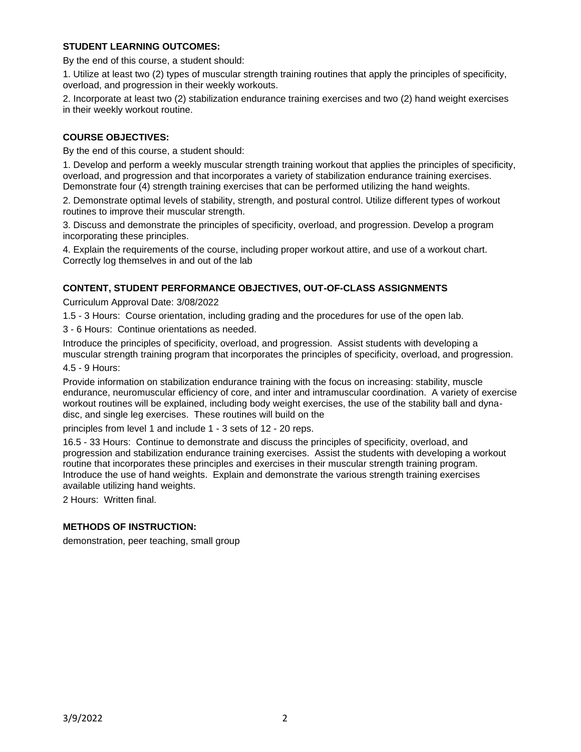# **STUDENT LEARNING OUTCOMES:**

By the end of this course, a student should:

1. Utilize at least two (2) types of muscular strength training routines that apply the principles of specificity, overload, and progression in their weekly workouts.

2. Incorporate at least two (2) stabilization endurance training exercises and two (2) hand weight exercises in their weekly workout routine.

### **COURSE OBJECTIVES:**

By the end of this course, a student should:

1. Develop and perform a weekly muscular strength training workout that applies the principles of specificity, overload, and progression and that incorporates a variety of stabilization endurance training exercises. Demonstrate four (4) strength training exercises that can be performed utilizing the hand weights.

2. Demonstrate optimal levels of stability, strength, and postural control. Utilize different types of workout routines to improve their muscular strength.

3. Discuss and demonstrate the principles of specificity, overload, and progression. Develop a program incorporating these principles.

4. Explain the requirements of the course, including proper workout attire, and use of a workout chart. Correctly log themselves in and out of the lab

### **CONTENT, STUDENT PERFORMANCE OBJECTIVES, OUT-OF-CLASS ASSIGNMENTS**

Curriculum Approval Date: 3/08/2022

1.5 - 3 Hours: Course orientation, including grading and the procedures for use of the open lab.

3 - 6 Hours: Continue orientations as needed.

Introduce the principles of specificity, overload, and progression. Assist students with developing a muscular strength training program that incorporates the principles of specificity, overload, and progression.

4.5 - 9 Hours:

Provide information on stabilization endurance training with the focus on increasing: stability, muscle endurance, neuromuscular efficiency of core, and inter and intramuscular coordination. A variety of exercise workout routines will be explained, including body weight exercises, the use of the stability ball and dynadisc, and single leg exercises. These routines will build on the

principles from level 1 and include 1 - 3 sets of 12 - 20 reps.

16.5 - 33 Hours: Continue to demonstrate and discuss the principles of specificity, overload, and progression and stabilization endurance training exercises. Assist the students with developing a workout routine that incorporates these principles and exercises in their muscular strength training program. Introduce the use of hand weights. Explain and demonstrate the various strength training exercises available utilizing hand weights.

2 Hours: Written final.

### **METHODS OF INSTRUCTION:**

demonstration, peer teaching, small group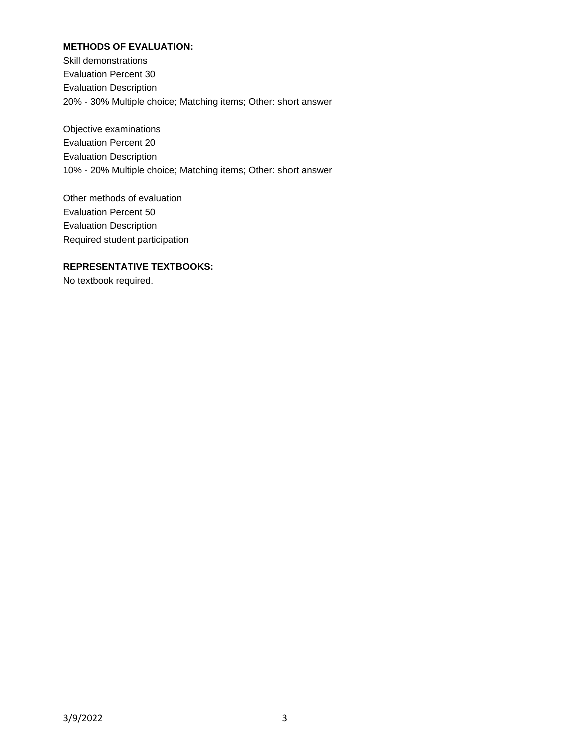# **METHODS OF EVALUATION:**

Skill demonstrations Evaluation Percent 30 Evaluation Description 20% - 30% Multiple choice; Matching items; Other: short answer

Objective examinations Evaluation Percent 20 Evaluation Description 10% - 20% Multiple choice; Matching items; Other: short answer

Other methods of evaluation Evaluation Percent 50 Evaluation Description Required student participation

#### **REPRESENTATIVE TEXTBOOKS:**

No textbook required.